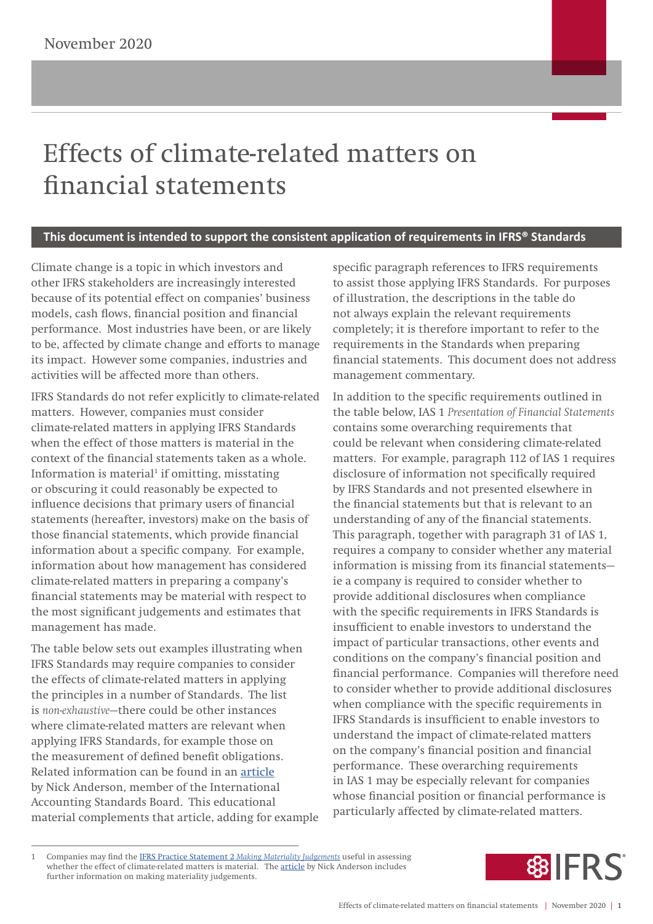## Effects of climate-related matters on financial statements

## **This document is intended to support the consistent application of requirements in IFRS® Standards**

Climate change is a topic in which investors and other IFRS stakeholders are increasingly interested because of its potential effect on companies' business models, cash flows, financial position and financial performance. Most industries have been, or are likely to be, affected by climate change and efforts to manage its impact. However some companies, industries and activities will be affected more than others.

IFRS Standards do not refer explicitly to climate-related matters. However, companies must consider climate-related matters in applying IFRS Standards when the effect of those matters is material in the context of the financial statements taken as a whole. Information is material<sup>1</sup> if omitting, misstating or obscuring it could reasonably be expected to influence decisions that primary users of financial statements (hereafter, investors) make on the basis of those financial statements, which provide financial information about a specific company. For example, information about how management has considered climate-related matters in preparing a company's financial statements may be material with respect to the most significant judgements and estimates that management has made.

The table below sets out examples illustrating when IFRS Standards may require companies to consider the effects of climate-related matters in applying the principles in a number of Standards. The list is *non-exhaustive*—there could be other instances where climate-related matters are relevant when applying IFRS Standards, for example those on the measurement of defined benefit obligations. Related information can be found in an [article](https://cdn.ifrs.org/-/media/feature/news/2019/november/in-brief-climate-change-nick-anderson.pdf?la=en
) by Nick Anderson, member of the International Accounting Standards Board. This educational material complements that article, adding for example specific paragraph references to IFRS requirements to assist those applying IFRS Standards. For purposes of illustration, the descriptions in the table do not always explain the relevant requirements completely; it is therefore important to refer to the requirements in the Standards when preparing financial statements. This document does not address management commentary.

In addition to the specific requirements outlined in the table below, IAS 1 *Presentation of Financial Statements* contains some overarching requirements that could be relevant when considering climate-related matters. For example, paragraph 112 of IAS 1 requires disclosure of information not specifically required by IFRS Standards and not presented elsewhere in the financial statements but that is relevant to an understanding of any of the financial statements. This paragraph, together with paragraph 31 of IAS 1, requires a company to consider whether any material information is missing from its financial statements ie a company is required to consider whether to provide additional disclosures when compliance with the specific requirements in IFRS Standards is insufficient to enable investors to understand the impact of particular transactions, other events and conditions on the company's financial position and financial performance. Companies will therefore need to consider whether to provide additional disclosures when compliance with the specific requirements in IFRS Standards is insufficient to enable investors to understand the impact of climate-related matters on the company's financial position and financial performance. These overarching requirements in IAS 1 may be especially relevant for companies whose financial position or financial performance is particularly affected by climate-related matters.



<sup>1</sup> Companies may find the IFRS Practice Statement 2 *[Making Materiality Judgements](https://www.ifrs.org/issued-standards/materiality-practice-statement/)* useful in assessing whether the effect of climate-related matters is material. The [article](https://cdn.ifrs.org/-/media/feature/news/2019/november/in-brief-climate-change-nick-anderson.pdf?la=en
) by Nick Anderson includes further information on making materiality judgements.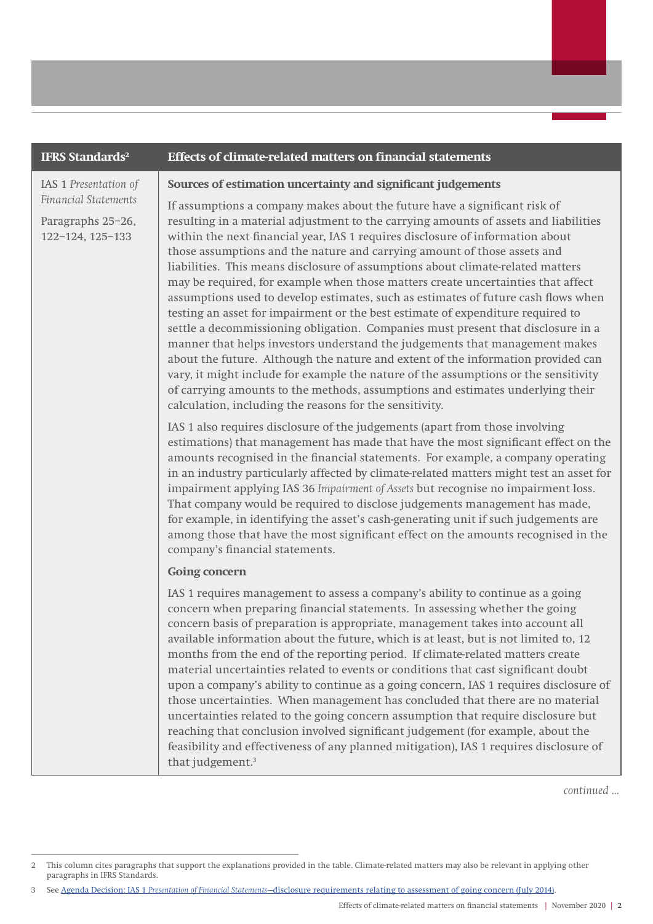## **IFRS Standards2 Effects of climate-related matters on financial statements**  IAS 1 *Presentation of Financial Statements* Paragraphs 25–26, 122–124, 125–133 **Sources of estimation uncertainty and significant judgements**  If assumptions a company makes about the future have a significant risk of resulting in a material adjustment to the carrying amounts of assets and liabilities within the next financial year, IAS 1 requires disclosure of information about those assumptions and the nature and carrying amount of those assets and liabilities. This means disclosure of assumptions about climate-related matters may be required, for example when those matters create uncertainties that affect assumptions used to develop estimates, such as estimates of future cash flows when testing an asset for impairment or the best estimate of expenditure required to settle a decommissioning obligation. Companies must present that disclosure in a manner that helps investors understand the judgements that management makes about the future. Although the nature and extent of the information provided can vary, it might include for example the nature of the assumptions or the sensitivity of carrying amounts to the methods, assumptions and estimates underlying their calculation, including the reasons for the sensitivity. IAS 1 also requires disclosure of the judgements (apart from those involving estimations) that management has made that have the most significant effect on the amounts recognised in the financial statements. For example, a company operating in an industry particularly affected by climate-related matters might test an asset for impairment applying IAS 36 *Impairment of Assets* but recognise no impairment loss. That company would be required to disclose judgements management has made, for example, in identifying the asset's cash-generating unit if such judgements are among those that have the most significant effect on the amounts recognised in the company's financial statements. **Going concern** IAS 1 requires management to assess a company's ability to continue as a going concern when preparing financial statements. In assessing whether the going concern basis of preparation is appropriate, management takes into account all available information about the future, which is at least, but is not limited to, 12 months from the end of the reporting period. If climate-related matters create material uncertainties related to events or conditions that cast significant doubt upon a company's ability to continue as a going concern, IAS 1 requires disclosure of those uncertainties. When management has concluded that there are no material uncertainties related to the going concern assumption that require disclosure but reaching that conclusion involved significant judgement (for example, about the feasibility and effectiveness of any planned mitigation), IAS 1 requires disclosure of that judgement.<sup>3</sup>

*continued ...*

<sup>2</sup> This column cites paragraphs that support the explanations provided in the table. Climate-related matters may also be relevant in applying other paragraphs in IFRS Standards.

<sup>3</sup> See Agenda Decision: IAS 1 *Presentation of Financial Statements*[—disclosure requirements relating to assessment of going concern \(July 2014\)](https://cdn.ifrs.org/-/media/feature/supporting-implementation/agenda-decisions/ias-1-disclosure-requirements-relating-to-assessment-of-going-concern-jul-14.pdf).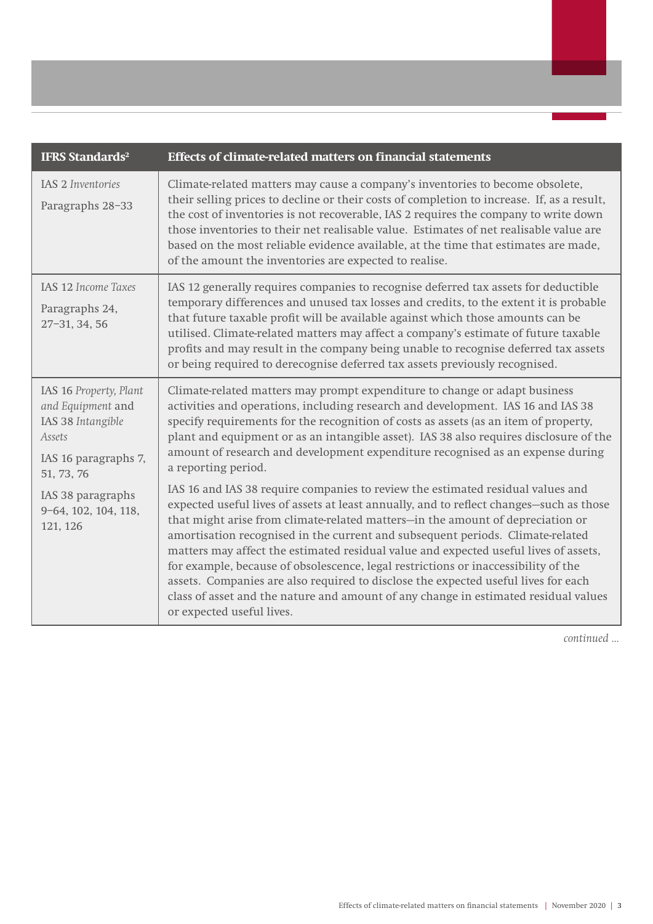| <b>IFRS Standards<sup>2</sup></b>                                                                                | <b>Effects of climate-related matters on financial statements</b>                                                                                                                                                                                                                                                                                                                                                                                                                                                                                                                                                                                                                                                                      |
|------------------------------------------------------------------------------------------------------------------|----------------------------------------------------------------------------------------------------------------------------------------------------------------------------------------------------------------------------------------------------------------------------------------------------------------------------------------------------------------------------------------------------------------------------------------------------------------------------------------------------------------------------------------------------------------------------------------------------------------------------------------------------------------------------------------------------------------------------------------|
| IAS 2 Inventories<br>Paragraphs 28-33                                                                            | Climate-related matters may cause a company's inventories to become obsolete,<br>their selling prices to decline or their costs of completion to increase. If, as a result,<br>the cost of inventories is not recoverable, IAS 2 requires the company to write down<br>those inventories to their net realisable value. Estimates of net realisable value are<br>based on the most reliable evidence available, at the time that estimates are made,<br>of the amount the inventories are expected to realise.                                                                                                                                                                                                                         |
| IAS 12 Income Taxes<br>Paragraphs 24,<br>27-31, 34, 56                                                           | IAS 12 generally requires companies to recognise deferred tax assets for deductible<br>temporary differences and unused tax losses and credits, to the extent it is probable<br>that future taxable profit will be available against which those amounts can be<br>utilised. Climate-related matters may affect a company's estimate of future taxable<br>profits and may result in the company being unable to recognise deferred tax assets<br>or being required to derecognise deferred tax assets previously recognised.                                                                                                                                                                                                           |
| IAS 16 Property, Plant<br>and Equipment and<br>IAS 38 Intangible<br>Assets<br>IAS 16 paragraphs 7,<br>51, 73, 76 | Climate-related matters may prompt expenditure to change or adapt business<br>activities and operations, including research and development. IAS 16 and IAS 38<br>specify requirements for the recognition of costs as assets (as an item of property,<br>plant and equipment or as an intangible asset). IAS 38 also requires disclosure of the<br>amount of research and development expenditure recognised as an expense during<br>a reporting period.                                                                                                                                                                                                                                                                              |
| IAS 38 paragraphs<br>9-64, 102, 104, 118,<br>121, 126                                                            | IAS 16 and IAS 38 require companies to review the estimated residual values and<br>expected useful lives of assets at least annually, and to reflect changes-such as those<br>that might arise from climate-related matters-in the amount of depreciation or<br>amortisation recognised in the current and subsequent periods. Climate-related<br>matters may affect the estimated residual value and expected useful lives of assets,<br>for example, because of obsolescence, legal restrictions or inaccessibility of the<br>assets. Companies are also required to disclose the expected useful lives for each<br>class of asset and the nature and amount of any change in estimated residual values<br>or expected useful lives. |

*continued ...*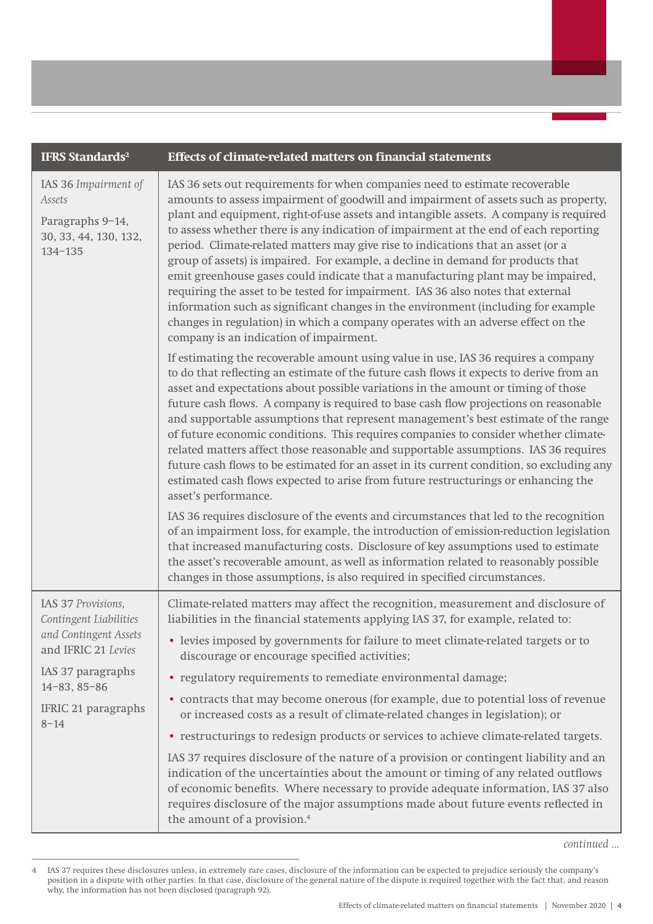| <b>IFRS Standards<sup>2</sup></b>                                                                                                                                          | <b>Effects of climate-related matters on financial statements</b>                                                                                                                                                                                                                                                                                                                                                                                                                                                                                                                                                                                                                                                                                                                                                                                                                                                        |
|----------------------------------------------------------------------------------------------------------------------------------------------------------------------------|--------------------------------------------------------------------------------------------------------------------------------------------------------------------------------------------------------------------------------------------------------------------------------------------------------------------------------------------------------------------------------------------------------------------------------------------------------------------------------------------------------------------------------------------------------------------------------------------------------------------------------------------------------------------------------------------------------------------------------------------------------------------------------------------------------------------------------------------------------------------------------------------------------------------------|
| IAS 36 Impairment of<br>Assets<br>Paragraphs 9-14,<br>30, 33, 44, 130, 132,<br>134-135                                                                                     | IAS 36 sets out requirements for when companies need to estimate recoverable<br>amounts to assess impairment of goodwill and impairment of assets such as property,<br>plant and equipment, right-of-use assets and intangible assets. A company is required<br>to assess whether there is any indication of impairment at the end of each reporting<br>period. Climate-related matters may give rise to indications that an asset (or a<br>group of assets) is impaired. For example, a decline in demand for products that<br>emit greenhouse gases could indicate that a manufacturing plant may be impaired,<br>requiring the asset to be tested for impairment. IAS 36 also notes that external<br>information such as significant changes in the environment (including for example<br>changes in regulation) in which a company operates with an adverse effect on the<br>company is an indication of impairment. |
|                                                                                                                                                                            | If estimating the recoverable amount using value in use, IAS 36 requires a company<br>to do that reflecting an estimate of the future cash flows it expects to derive from an<br>asset and expectations about possible variations in the amount or timing of those<br>future cash flows. A company is required to base cash flow projections on reasonable<br>and supportable assumptions that represent management's best estimate of the range<br>of future economic conditions. This requires companies to consider whether climate-<br>related matters affect those reasonable and supportable assumptions. IAS 36 requires<br>future cash flows to be estimated for an asset in its current condition, so excluding any<br>estimated cash flows expected to arise from future restructurings or enhancing the<br>asset's performance.                                                                               |
|                                                                                                                                                                            | IAS 36 requires disclosure of the events and circumstances that led to the recognition<br>of an impairment loss, for example, the introduction of emission-reduction legislation<br>that increased manufacturing costs. Disclosure of key assumptions used to estimate<br>the asset's recoverable amount, as well as information related to reasonably possible<br>changes in those assumptions, is also required in specified circumstances.                                                                                                                                                                                                                                                                                                                                                                                                                                                                            |
| IAS 37 Provisions,<br>Contingent Liabilities<br>and Contingent Assets<br>and IFRIC 21 Levies<br>IAS 37 paragraphs<br>$14 - 83, 85 - 86$<br>IFRIC 21 paragraphs<br>$8 - 14$ | Climate-related matters may affect the recognition, measurement and disclosure of<br>liabilities in the financial statements applying IAS 37, for example, related to:                                                                                                                                                                                                                                                                                                                                                                                                                                                                                                                                                                                                                                                                                                                                                   |
|                                                                                                                                                                            | • levies imposed by governments for failure to meet climate-related targets or to<br>discourage or encourage specified activities;                                                                                                                                                                                                                                                                                                                                                                                                                                                                                                                                                                                                                                                                                                                                                                                       |
|                                                                                                                                                                            | · regulatory requirements to remediate environmental damage;                                                                                                                                                                                                                                                                                                                                                                                                                                                                                                                                                                                                                                                                                                                                                                                                                                                             |
|                                                                                                                                                                            | • contracts that may become onerous (for example, due to potential loss of revenue<br>or increased costs as a result of climate-related changes in legislation); or                                                                                                                                                                                                                                                                                                                                                                                                                                                                                                                                                                                                                                                                                                                                                      |
|                                                                                                                                                                            | • restructurings to redesign products or services to achieve climate-related targets.                                                                                                                                                                                                                                                                                                                                                                                                                                                                                                                                                                                                                                                                                                                                                                                                                                    |
|                                                                                                                                                                            | IAS 37 requires disclosure of the nature of a provision or contingent liability and an<br>indication of the uncertainties about the amount or timing of any related outflows<br>of economic benefits. Where necessary to provide adequate information, IAS 37 also<br>requires disclosure of the major assumptions made about future events reflected in<br>the amount of a provision. <sup>4</sup>                                                                                                                                                                                                                                                                                                                                                                                                                                                                                                                      |

<sup>4</sup> IAS 37 requires these disclosures unless, in extremely rare cases, disclosure of the information can be expected to prejudice seriously the company's position in a dispute with other parties. In that case, disclosure of the general nature of the dispute is required together with the fact that, and reason why, the information has not been disclosed (paragraph 92).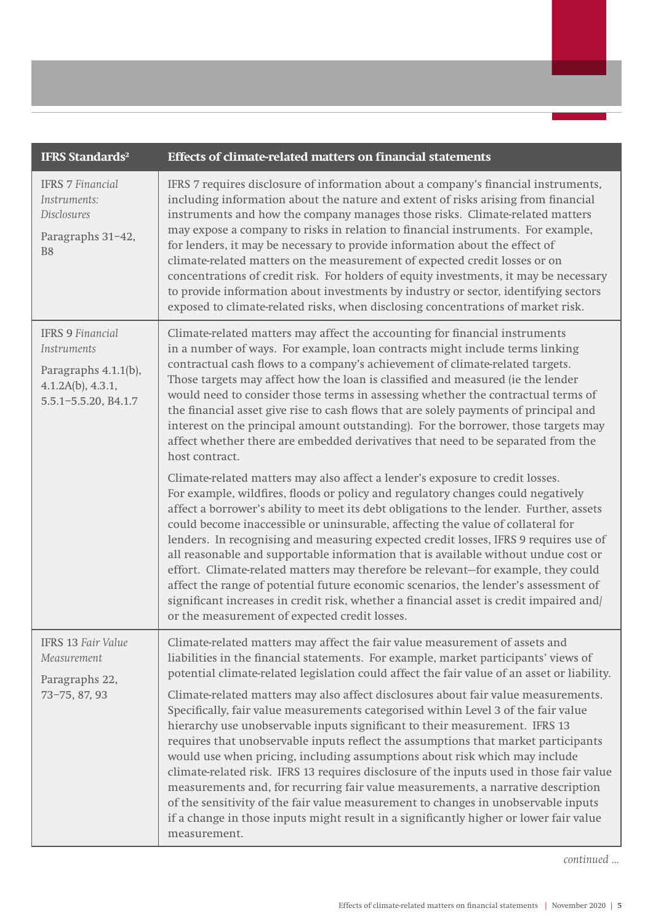| <b>IFRS Standards<sup>2</sup></b>                                                                           | <b>Effects of climate-related matters on financial statements</b>                                                                                                                                                                                                                                                                                                                                                                                                                                                                                                                                                                                                                                                                                                                                                                                                                                                                                                                                                                                                                |
|-------------------------------------------------------------------------------------------------------------|----------------------------------------------------------------------------------------------------------------------------------------------------------------------------------------------------------------------------------------------------------------------------------------------------------------------------------------------------------------------------------------------------------------------------------------------------------------------------------------------------------------------------------------------------------------------------------------------------------------------------------------------------------------------------------------------------------------------------------------------------------------------------------------------------------------------------------------------------------------------------------------------------------------------------------------------------------------------------------------------------------------------------------------------------------------------------------|
| <b>IFRS 7 Financial</b><br>Instruments:<br>Disclosures<br>Paragraphs 31-42,<br>B <sub>8</sub>               | IFRS 7 requires disclosure of information about a company's financial instruments,<br>including information about the nature and extent of risks arising from financial<br>instruments and how the company manages those risks. Climate-related matters<br>may expose a company to risks in relation to financial instruments. For example,<br>for lenders, it may be necessary to provide information about the effect of<br>climate-related matters on the measurement of expected credit losses or on<br>concentrations of credit risk. For holders of equity investments, it may be necessary<br>to provide information about investments by industry or sector, identifying sectors<br>exposed to climate-related risks, when disclosing concentrations of market risk.                                                                                                                                                                                                                                                                                                     |
| <b>IFRS 9 Financial</b><br>Instruments<br>Paragraphs 4.1.1(b),<br>4.1.2A(b), 4.3.1,<br>5.5.1-5.5.20, B4.1.7 | Climate-related matters may affect the accounting for financial instruments<br>in a number of ways. For example, loan contracts might include terms linking<br>contractual cash flows to a company's achievement of climate-related targets.<br>Those targets may affect how the loan is classified and measured (ie the lender<br>would need to consider those terms in assessing whether the contractual terms of<br>the financial asset give rise to cash flows that are solely payments of principal and<br>interest on the principal amount outstanding). For the borrower, those targets may<br>affect whether there are embedded derivatives that need to be separated from the<br>host contract.<br>Climate-related matters may also affect a lender's exposure to credit losses.<br>For example, wildfires, floods or policy and regulatory changes could negatively                                                                                                                                                                                                    |
|                                                                                                             | affect a borrower's ability to meet its debt obligations to the lender. Further, assets<br>could become inaccessible or uninsurable, affecting the value of collateral for<br>lenders. In recognising and measuring expected credit losses, IFRS 9 requires use of<br>all reasonable and supportable information that is available without undue cost or<br>effort. Climate-related matters may therefore be relevant-for example, they could<br>affect the range of potential future economic scenarios, the lender's assessment of<br>significant increases in credit risk, whether a financial asset is credit impaired and/<br>or the measurement of expected credit losses.                                                                                                                                                                                                                                                                                                                                                                                                 |
| <b>IFRS 13 Fair Value</b><br>Measurement<br>Paragraphs 22,<br>73-75, 87, 93                                 | Climate-related matters may affect the fair value measurement of assets and<br>liabilities in the financial statements. For example, market participants' views of<br>potential climate-related legislation could affect the fair value of an asset or liability.<br>Climate-related matters may also affect disclosures about fair value measurements.<br>Specifically, fair value measurements categorised within Level 3 of the fair value<br>hierarchy use unobservable inputs significant to their measurement. IFRS 13<br>requires that unobservable inputs reflect the assumptions that market participants<br>would use when pricing, including assumptions about risk which may include<br>climate-related risk. IFRS 13 requires disclosure of the inputs used in those fair value<br>measurements and, for recurring fair value measurements, a narrative description<br>of the sensitivity of the fair value measurement to changes in unobservable inputs<br>if a change in those inputs might result in a significantly higher or lower fair value<br>measurement. |

*continued ...*